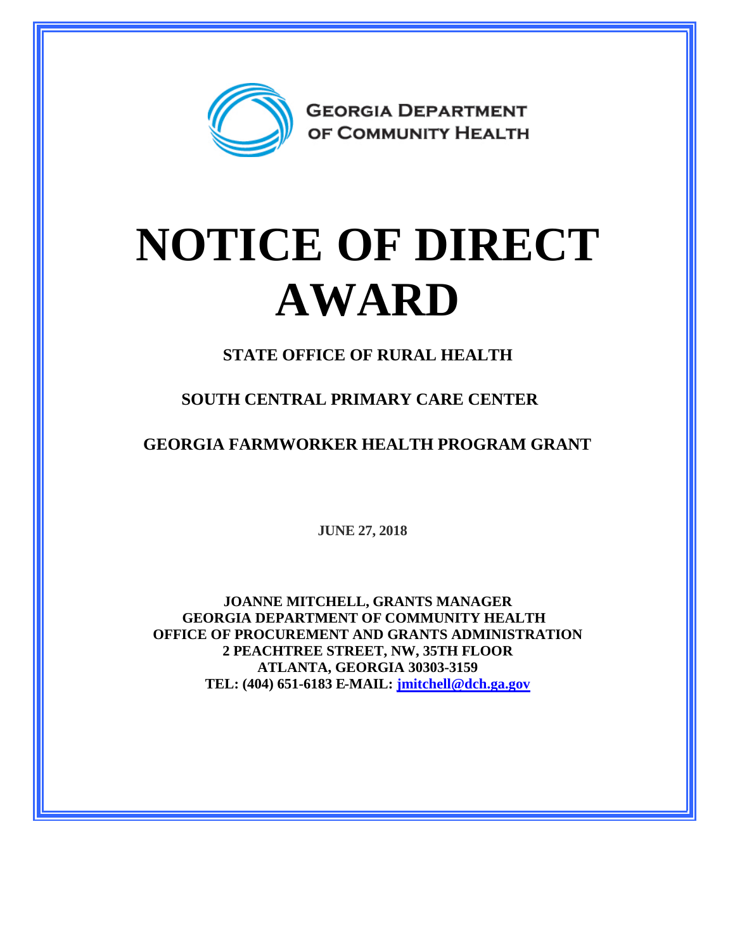

## **NOTICE OF DIRECT AWARD**

**STATE OFFICE OF RURAL HEALTH**

**SOUTH CENTRAL PRIMARY CARE CENTER**

**GEORGIA FARMWORKER HEALTH PROGRAM GRANT**

**JUNE 27, 2018**

**JOANNE MITCHELL, GRANTS MANAGER GEORGIA DEPARTMENT OF COMMUNITY HEALTH OFFICE OF PROCUREMENT AND GRANTS ADMINISTRATION 2 PEACHTREE STREET, NW, 35TH FLOOR ATLANTA, GEORGIA 30303-3159 TEL: (404) 651-6183 E-MAIL: [jmitchell@dch.ga.gov](mailto:jmitchell@dch.ga.gov)**